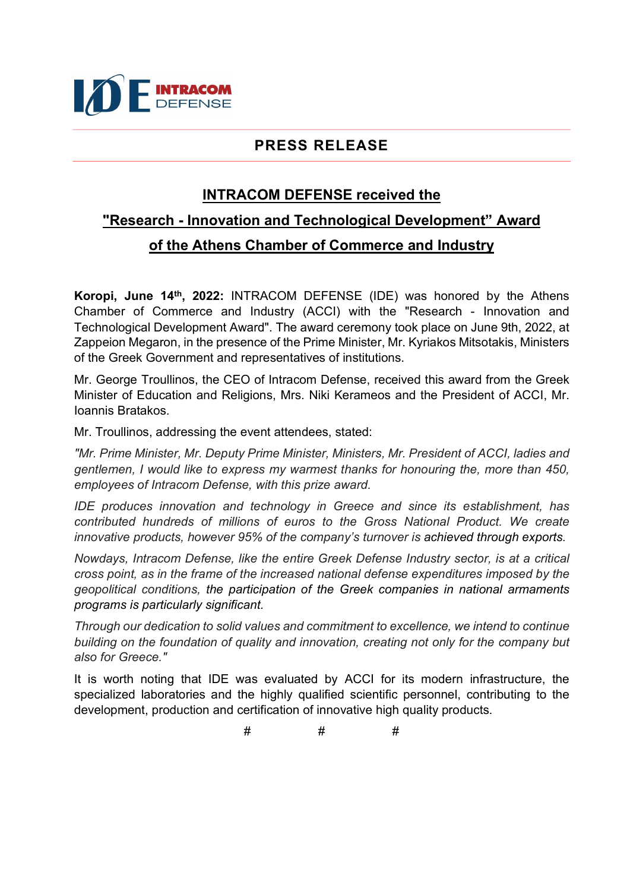

## PRESS RELEASE

## INTRACOM DEFENSE received the

## "Research - Innovation and Technological Development" Award of the Athens Chamber of Commerce and Industry

Koropi, June 14<sup>th</sup>, 2022: INTRACOM DEFENSE (IDE) was honored by the Athens Chamber of Commerce and Industry (ACCI) with the "Research - Innovation and Technological Development Award". The award ceremony took place on June 9th, 2022, at Zappeion Megaron, in the presence of the Prime Minister, Mr. Kyriakos Mitsotakis, Ministers of the Greek Government and representatives of institutions.

Mr. George Troullinos, the CEO of Intracom Defense, received this award from the Greek Minister of Education and Religions, Mrs. Niki Kerameos and the President of ACCI, Mr. Ioannis Bratakos.

Mr. Troullinos, addressing the event attendees, stated:

"Mr. Prime Minister, Mr. Deputy Prime Minister, Ministers, Mr. President of ACCI, ladies and gentlemen, I would like to express my warmest thanks for honouring the, more than 450, employees of Intracom Defense, with this prize award.

IDE produces innovation and technology in Greece and since its establishment, has contributed hundreds of millions of euros to the Gross National Product. We create innovative products, however 95% of the company's turnover is achieved through exports.

Nowdays, Intracom Defense, like the entire Greek Defense Industry sector, is at a critical cross point, as in the frame of the increased national defense expenditures imposed by the geopolitical conditions, the participation of the Greek companies in national armaments programs is particularly significant.

Through our dedication to solid values and commitment to excellence, we intend to continue building on the foundation of quality and innovation, creating not only for the company but also for Greece."

It is worth noting that IDE was evaluated by ACCI for its modern infrastructure, the specialized laboratories and the highly qualified scientific personnel, contributing to the development, production and certification of innovative high quality products.

# # #